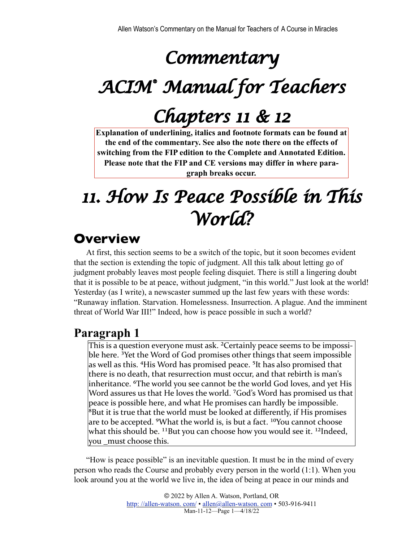# *Commentary*

# *ACIM® Manual for Teachers*

# *Chapters 11 & 12*

**Explanation of underlining, italics and footnote formats can be found at the end of the commentary. See also the note there on the effects of switching from the FIP edition to the Complete and Annotated Edition. Please note that the FIP and CE versions may differ in where paragraph breaks occur.**

# *11. How Is Peace Possible in This World?*

# **Overview**

At first, this section seems to be a switch of the topic, but it soon becomes evident that the section is extending the topic of judgment. All this talk about letting go of judgment probably leaves most people feeling disquiet. There is still a lingering doubt that it is possible to be at peace, without judgment, "in this world." Just look at the world! Yesterday (as I write), a newscaster summed up the last few years with these words: "Runaway inflation. Starvation. Homelessness. Insurrection. A plague. And the imminent threat of World War III!" Indeed, how is peace possible in such a world?

### **Paragraph 1**

This is a question everyone must ask. <sup>2</sup>Certainly peace seems to be impossible here. <sup>3</sup>Yet the Word of God promises other things that seem impossible as well as this. <sup>4</sup>His Word has promised peace. <sup>5</sup>It has also promised that there is no death, that resurrection must occur, and that rebirth is man's inheritance. <sup>6</sup>The world you see cannot be the world God loves, and yet His Word assures us that He loves the world. <sup>7</sup>God's Word has promised us that peace is possible here, and what He promises can hardly be impossible.  ${}^{8}$ But it is true that the world must be looked at differently, if His promises are to be accepted. <sup>9</sup>What the world is, is but a fact. <sup>10</sup>You cannot choose what this should be. <sup>11</sup> But you can choose how you would see it. <sup>12</sup>Indeed, you \_must choose this.

"How is peace possible" is an inevitable question. It must be in the mind of every person who reads the Course and probably every person in the world (1:1). When you look around you at the world we live in, the idea of being at peace in our minds and

> © 2022 by Allen A. Watson, Portland, OR http://allen-watson.com/ • allen@allen-watson.com • 503-916-9411 Man-11-12—Page 1—4/18/22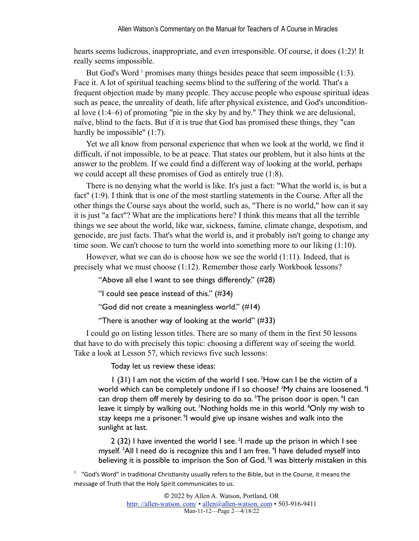hearts seems ludicrous, inappropriate, and even irresponsible. Of course, it does (1:2)! It really seems impossible.

<span id="page-1-1"></span>But God's Word<sup>[1](#page-1-0)</sup> promises many things besides peace that seem impossible (1:3). Face it. A lot of spiritual teaching seems blind to the suffering of the world. That's a frequent objection made by many people. They accuse people who espouse spiritual ideas such as peace, the unreality of death, life after physical existence, and God's unconditional love (1:4–6) of promoting "pie in the sky by and by." They think we are delusional, naïve, blind to the facts. But if it is true that God has promised these things, they "can hardly be impossible" (1:7).

Yet we all know from personal experience that when we look at the world, we find it difficult, if not impossible, to be at peace. That states our problem, but it also hints at the answer to the problem. If we could find a different way of looking at the world, perhaps we could accept all these promises of God as entirely true (1:8).

There is no denying what the world is like. It's just a fact: "What the world is, is but a fact" (1:9). I think that is one of the most startling statements in the Course. After all the other things the Course says about the world, such as, "There is no world," how can it say it is just "a fact"? What are the implications here? I think this means that all the terrible things we see about the world, like war, sickness, famine, climate change, despotism, and genocide, are just facts. That's what the world is, and it probably isn't going to change any time soon. We can't choose to turn the world into something more to our liking (1:10).

However, what we can do is choose how we see the world (1:11). Indeed, that is precisely what we must choose (1:12). Remember those early Workbook lessons?

"Above all else I want to see things differently." (#28)

"I could see peace instead of this." (#34)

"God did not create a meaningless world." (#14)

"There is another way of looking at the world" (#33)

I could go on listing lesson titles. There are so many of them in the first 50 lessons that have to do with precisely this topic: choosing a different way of seeing the world. Take a look at Lesson 57, which reviews five such lessons:

Today let us review these ideas:

1 (31) I am not the victim of the world I see. 2 How can I be the victim of a world which can be completely undone if I so choose? <sup>3</sup>My chains are loosened. <sup>4</sup>I can drop them off merely by desiring to do so. <sup>5</sup>The prison door is open. <sup>6</sup>I can leave it simply by walking out. <sup>7</sup>Nothing holds me in this world. <sup>8</sup>Only my wish to stay keeps me a prisoner. <sup>9</sup>l would give up insane wishes and walk into the sunlight at last.

 $2$  (32) I have invented the world I see. <sup>2</sup>I made up the prison in which I see myself.<sup>3</sup>All I need do is recognize this and I am free.<sup>4</sup>I have deluded myself into believing it is possible to imprison the Son of God.<sup>5</sup>I was bitterly mistaken in this

<span id="page-1-0"></span> $1.$  "God's Word" in traditional Christianity usually refers to the Bible, but in the Course, it means the message of Truth that the Holy Spirit communicates to us.

> © 2022 by Allen A. Watson, Portland, OR http://allen-watson.com/ • allen@allen-watson.com • 503-916-9411 Man-11-12—Page 2—4/18/22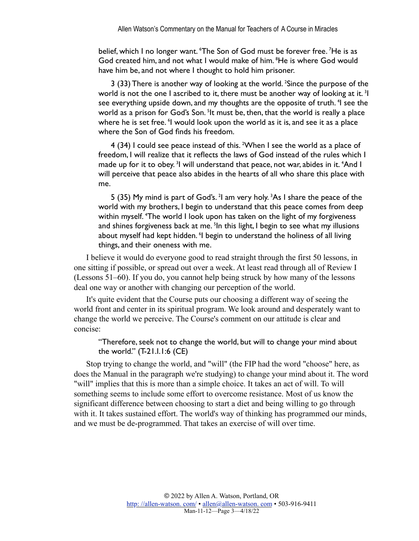belief, which I no longer want. 'The Son of God must be forever free. <sup>7</sup>He is as God created him, and not what I would make of him. <sup>8</sup> He is where God would have him be, and not where I thought to hold him prisoner.

3 (33) There is another way of looking at the world. <sup>2</sup> Since the purpose of the world is not the one I ascribed to it, there must be another way of looking at it.<sup>3</sup>I see everything upside down, and my thoughts are the opposite of truth. <sup>4</sup>I see the world as a prison for God's Son. <sup>5</sup>lt must be, then, that the world is really a place where he is set free. I would look upon the world as it is, and see it as a place where the Son of God finds his freedom.

4 (34) I could see peace instead of this. <sup>2</sup>When I see the world as a place of freedom, I will realize that it reflects the laws of God instead of the rules which I made up for it to obey.<sup>3</sup>I will understand that peace, not war, abides in it. <sup>4</sup>And I will perceive that peace also abides in the hearts of all who share this place with me.

5 (35) My mind is part of God's. <sup>2</sup>l am very holy. <sup>3</sup>As I share the peace of the world with my brothers, I begin to understand that this peace comes from deep within myself. <sup>4</sup>The world I look upon has taken on the light of my forgiveness and shines forgiveness back at me. <sup>5</sup>In this light, I begin to see what my illusions about myself had kept hidden. <sup>6</sup>I begin to understand the holiness of all living things, and their oneness with me.

I believe it would do everyone good to read straight through the first 50 lessons, in one sitting if possible, or spread out over a week. At least read through all of Review I (Lessons 51–60). If you do, you cannot help being struck by how many of the lessons deal one way or another with changing our perception of the world.

It's quite evident that the Course puts our choosing a different way of seeing the world front and center in its spiritual program. We look around and desperately want to change the world we perceive. The Course's comment on our attitude is clear and concise:

"Therefore, seek not to change the world, but will to change your mind about the world." (T-21.I.1:6 (CE)

Stop trying to change the world, and "will" (the FIP had the word "choose" here, as does the Manual in the paragraph we're studying) to change your mind about it. The word "will" implies that this is more than a simple choice. It takes an act of will. To will something seems to include some effort to overcome resistance. Most of us know the significant difference between choosing to start a diet and being willing to go through with it. It takes sustained effort. The world's way of thinking has programmed our minds, and we must be de-programmed. That takes an exercise of will over time.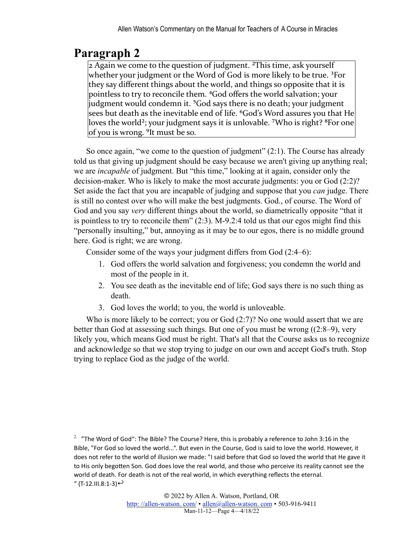$\overline{2 \text{ Again we come to the question of judgment}}$ . <sup>2</sup>This time, ask yourself whether your judgment or the Word of God is more likely to be true.  ${}^{3}$ For they say different things about the world, and things so opposite that it is pointless to try to reconcile them. <sup>4</sup>God offers the world salvation; your judgment would condemn it.  $5$ God says there is no death; your judgment sees but death as the inevitable end of life. <sup>6</sup>God's Word assures you that He loves the world<sup>2</sup>; your judgment says it is unlovable. <sup>7</sup>Who is right?  ${}^{8}$ For one of you is wrong. <sup>9</sup>It must be so.

<span id="page-3-1"></span>So once again, "we come to the question of judgment" (2:1). The Course has already told us that giving up judgment should be easy because we aren't giving up anything real; we are *incapable* of judgment. But "this time," looking at it again, consider only the decision-maker. Who is likely to make the most accurate judgments: you or God (2:2)? Set aside the fact that you are incapable of judging and suppose that you *can* judge. There is still no contest over who will make the best judgments. God., of course. The Word of God and you say *very* different things about the world, so diametrically opposite "that it is pointless to try to reconcile them" (2:3). M-9.2:4 told us that our egos might find this "personally insulting," but, annoying as it may be to our egos, there is no middle ground here. God is right; we are wrong.

Consider some of the ways your judgment differs from God (2:4–6):

- 1. God offers the world salvation and forgiveness; you condemn the world and most of the people in it.
- 2. You see death as the inevitable end of life; God says there is no such thing as death.
- 3. God loves the world; to you, the world is unloveable.

Who is more likely to be correct; you or God (2:7)? No one would assert that we are better than God at assessing such things. But one of you must be wrong ((2:8–9), very likely you, which means God must be right. That's all that the Course asks us to recognize and acknowledge so that we stop trying to judge on our own and accept God's truth. Stop trying to replace God as the judge of the world.

<span id="page-3-0"></span><sup>2.</sup> "The Word of God": The Bible? The Course? Here, this is probably a reference to John 3:16 in the Bible, "For God so loved the world...". But even in the Course, God is said to love the world. However, it does not refer to the world of illusion we made: "I said before that God so loved the world that He gave it to His only begotten Son. God does love the real world, and those who perceive its reality cannot see the world of death. For death is not of the real world, in which everything reflects the eternal. " (T-12.III.8:1-3)<sup>↓</sup>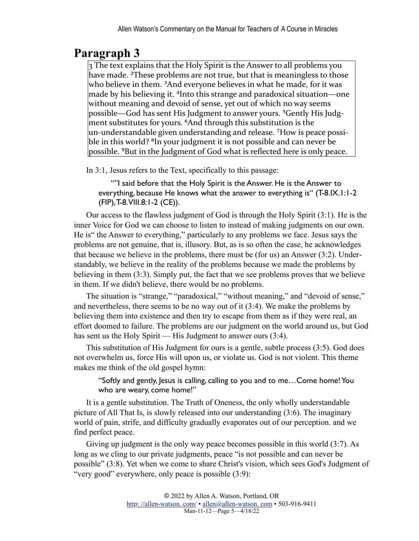3 The text explains that the Holy Spirit is the Answer to all problems you have made. <sup>2</sup>These problems are not true, but that is meaningless to those who believe in them. <sup>3</sup>And everyone believes in what he made, for it was made by his believing it. <sup>4</sup>Into this strange and paradoxical situation—one without meaning and devoid of sense, yet out of which no way seems possible—God has sent His Judgment to answer yours. <sup>5</sup>Gently His Judgment substitutes for yours. <sup>6</sup>And through this substitution is the  $\mu$ un-understandable given understanding and release. <sup>7</sup>How is peace possible in this world?  ${}^{8}$ In your judgment it is not possible and can never be possible.  $9$ But in the Judgment of God what is reflected here is only peace.

In 3:1, Jesus refers to the Text, specifically to this passage:

""I said before that the Holy Spirit is the Answer. He is the Answer to everything, because He knows what the answer to everything is" (T-8.IX.1:1-2 (FIP), T-8.VIII.8:1-2 (CE)).

Our access to the flawless judgment of God is through the Holy Spirit (3:1). He is the inner Voice for God we can choose to listen to instead of making judgments on our own. He is" the Answer to everything," particularly to any problems we face. Jesus says the problems are not genuine, that is, illusory. But, as is so often the case, he acknowledges that because we believe in the problems, there must be (for us) an Answer (3:2). Understandably, we believe in the reality of the problems because we made the problems by believing in them (3:3). Simply put, the fact that we see problems proves that we believe in them. If we didn't believe, there would be no problems.

The situation is "strange," "paradoxical," "without meaning," and "devoid of sense," and nevertheless, there seems to be no way out of it (3:4). We make the problems by believing them into existence and then try to escape from them as if they were real, an effort doomed to failure. The problems are our judgment on the world around us, but God has sent us the Holy Spirit — His Judgment to answer ours  $(3:4)$ .

This substitution of His Judgment for ours is a gentle, subtle process (3:5). God does not overwhelm us, force His will upon us, or violate us. God is not violent. This theme makes me think of the old gospel hymn:

#### "Softly and gently, Jesus is calling, calling to you and to me…Come home! You who are weary, come home!"

It is a gentle substitution. The Truth of Oneness, the only wholly understandable picture of All That Is, is slowly released into our understanding (3:6). The imaginary world of pain, strife, and difficulty gradually evaporates out of our perception. and we find perfect peace.

Giving up judgment is the only way peace becomes possible in this world (3:7). As long as we cling to our private judgments, peace "is not possible and can never be possible" (3:8). Yet when we come to share Christ's vision, which sees God's Judgment of "very good" everywhere, only peace is possible (3:9):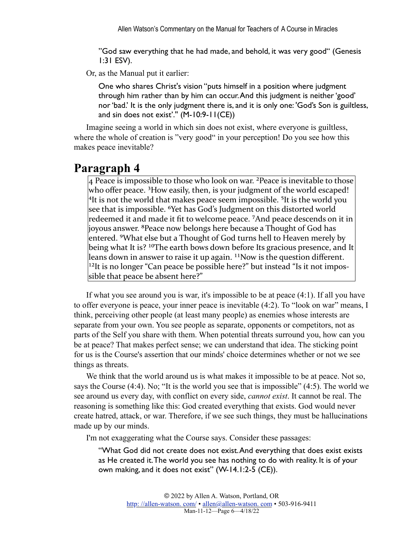"God saw everything that he had made, and behold, it was very good" (Genesis 1:31 ESV).

Or, as the Manual put it earlier:

One who shares Christ's vision "puts himself in a position where judgment through him rather than by him can occur. And this judgment is neither 'good' nor 'bad.' It is the only judgment there is, and it is only one: 'God's Son is guiltless, and sin does not exist'.'' (M-10:9-11(CE))

Imagine seeing a world in which sin does not exist, where everyone is guiltless, where the whole of creation is "very good" in your perception! Do you see how this makes peace inevitable?

#### **Paragraph 4**

 $4$  Peace is impossible to those who look on war. <sup>2</sup> Peace is inevitable to those who offer peace.  $3$ How easily, then, is your judgment of the world escaped!  $4$ It is not the world that makes peace seem impossible. <sup>5</sup>It is the world you see that is impossible. <sup>6</sup>Yet has God's Judgment on this distorted world redeemed it and made it fit to welcome peace. <sup>7</sup>And peace descends on it in joyous answer. <sup>8</sup>Peace now belongs here because a Thought of God has entered. <sup>9</sup>What else but a Thought of God turns hell to Heaven merely by being what It is? <sup>10</sup>The earth bows down before Its gracious presence, and It leans down in answer to raise it up again.  $11$ Now is the question different. <sup>12</sup>It is no longer "Can peace be possible here?" but instead "Is it not impossible that peace be absent here?"

If what you see around you is war, it's impossible to be at peace (4:1). If all you have to offer everyone is peace, your inner peace is inevitable (4:2). To "look on war" means, I think, perceiving other people (at least many people) as enemies whose interests are separate from your own. You see people as separate, opponents or competitors, not as parts of the Self you share with them. When potential threats surround you, how can you be at peace? That makes perfect sense; we can understand that idea. The sticking point for us is the Course's assertion that our minds' choice determines whether or not we see things as threats.

We think that the world around us is what makes it impossible to be at peace. Not so, says the Course (4:4). No; "It is the world you see that is impossible" (4:5). The world we see around us every day, with conflict on every side, *cannot exist*. It cannot be real. The reasoning is something like this: God created everything that exists. God would never create hatred, attack, or war. Therefore, if we see such things, they must be hallucinations made up by our minds.

I'm not exaggerating what the Course says. Consider these passages:

"What God did not create does not exist. And everything that does exist exists as He created it. The world you see has nothing to do with reality. It is of your own making, and it does not exist" (W-14.1:2-5 (CE)).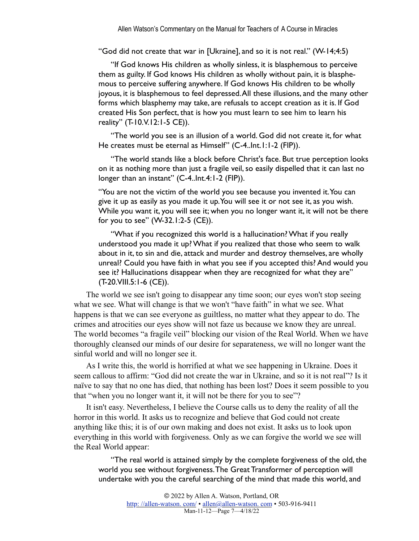"God did not create that war in [Ukraine], and so it is not real." (W-14;4:5)

"If God knows His children as wholly sinless, it is blasphemous to perceive them as guilty. If God knows His children as wholly without pain, it is blasphemous to perceive suffering anywhere. If God knows His children to be wholly joyous, it is blasphemous to feel depressed. All these illusions, and the many other forms which blasphemy may take, are refusals to accept creation as it is. If God created His Son perfect, that is how you must learn to see him to learn his reality" (T-10.V.12:1-5 CE)).

"The world you see is an illusion of a world. God did not create it, for what He creates must be eternal as Himself" (C-4..Int.1:1-2 (FIP)).

"The world stands like a block before Christ's face. But true perception looks on it as nothing more than just a fragile veil, so easily dispelled that it can last no longer than an instant" (C-4..Int.4:1-2 (FIP)).

"You are not the victim of the world you see because you invented it. You can give it up as easily as you made it up. You will see it or not see it, as you wish. While you want it, you will see it; when you no longer want it, it will not be there for you to see" (W-32.1:2-5 (CE)).

"What if you recognized this world is a hallucination? What if you really understood you made it up? What if you realized that those who seem to walk about in it, to sin and die, attack and murder and destroy themselves, are wholly unreal? Could you have faith in what you see if you accepted this? And would you see it? Hallucinations disappear when they are recognized for what they are" (T-20.VIII.5:1-6 (CE)).

The world we see isn't going to disappear any time soon; our eyes won't stop seeing what we see. What will change is that we won't "have faith" in what we see. What happens is that we can see everyone as guiltless, no matter what they appear to do. The crimes and atrocities our eyes show will not faze us because we know they are unreal. The world becomes "a fragile veil" blocking our vision of the Real World. When we have thoroughly cleansed our minds of our desire for separateness, we will no longer want the sinful world and will no longer see it.

As I write this, the world is horrified at what we see happening in Ukraine. Does it seem callous to affirm: "God did not create the war in Ukraine, and so it is not real"? Is it naïve to say that no one has died, that nothing has been lost? Does it seem possible to you that "when you no longer want it, it will not be there for you to see"?

It isn't easy. Nevertheless, I believe the Course calls us to deny the reality of all the horror in this world. It asks us to recognize and believe that God could not create anything like this; it is of our own making and does not exist. It asks us to look upon everything in this world with forgiveness. Only as we can forgive the world we see will the Real World appear:

"The real world is attained simply by the complete forgiveness of the old, the world you see without forgiveness. The Great Transformer of perception will undertake with you the careful searching of the mind that made this world, and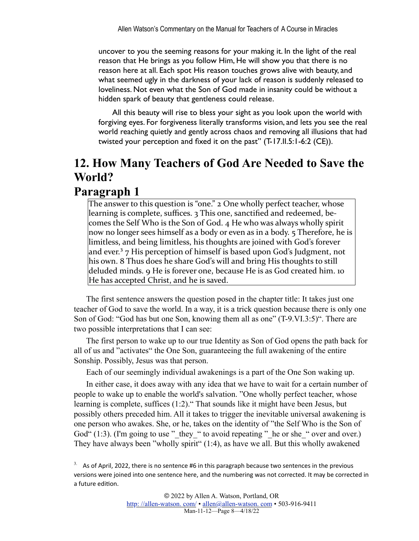uncover to you the seeming reasons for your making it. In the light of the real reason that He brings as you follow Him, He will show you that there is no reason here at all. Each spot His reason touches grows alive with beauty, and what seemed ugly in the darkness of your lack of reason is suddenly released to loveliness. Not even what the Son of God made in insanity could be without a hidden spark of beauty that gentleness could release.

 All this beauty will rise to bless your sight as you look upon the world with forgiving eyes. For forgiveness literally transforms vision, and lets you see the real world reaching quietly and gently across chaos and removing all illusions that had twisted your perception and fixed it on the past" (T-17.II.5:1-6:2 (CE)).

## **12. How Many Teachers of God Are Needed to Save the World?**

#### **Paragraph 1**

The answer to this question is "one." 2 One wholly perfect teacher, whose learning is complete, suffices. 3 This one, sanctified and redeemed, becomes the Self Who is the Son of God. 4 He who was always wholly spirit now no longer sees himself as a body or even as in a body. 5 Therefore, he is limitless, and being limitless, his thoughts are joined with God's forever and ever.<sup>3</sup>  $7$  His perception of himself is based upon God's Judgment, not his own. 8 Thus does he share God's will and bring His thoughts to still deluded minds. 9 He is forever one, because He is as God created him. 10 He has accepted Christ, and he is saved.

<span id="page-7-1"></span>The first sentence answers the question posed in the chapter title: It takes just one teacher of God to save the world. In a way, it is a trick question because there is only one Son of God: "God has but one Son, knowing them all as one" (T-9.VI.3:5)". There are two possible interpretations that I can see:

The first person to wake up to our true Identity as Son of God opens the path back for all of us and "activates" the One Son, guaranteeing the full awakening of the entire Sonship. Possibly, Jesus was that person.

Each of our seemingly individual awakenings is a part of the One Son waking up.

In either case, it does away with any idea that we have to wait for a certain number of people to wake up to enable the world's salvation. "One wholly perfect teacher, whose learning is complete, suffices (1:2)." That sounds like it might have been Jesus, but possibly others preceded him. All it takes to trigger the inevitable universal awakening is one person who awakes. She, or he, takes on the identity of "the Self Who is the Son of God"  $(1:3)$ . (I'm going to use " they " to avoid repeating " he or she " over and over.) They have always been "wholly spirit" (1:4), as have we all. But this wholly awakened

<span id="page-7-0"></span> $3.$  As of April, 2022, there is no sentence #6 in this paragraph because two sentences in the previous versions were joined into one sentence here, and the numbering was not corrected. It may be corrected in a future edition.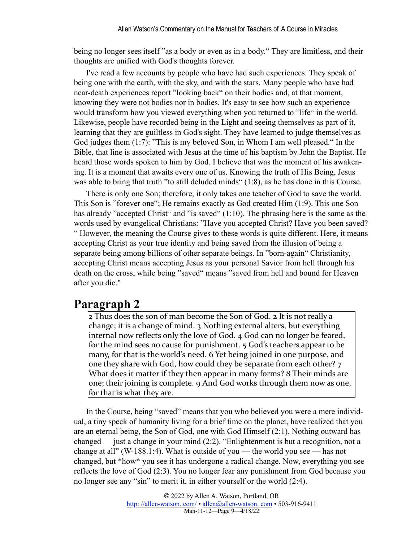being no longer sees itself "as a body or even as in a body." They are limitless, and their thoughts are unified with God's thoughts forever.

I've read a few accounts by people who have had such experiences. They speak of being one with the earth, with the sky, and with the stars. Many people who have had near-death experiences report "looking back" on their bodies and, at that moment, knowing they were not bodies nor in bodies. It's easy to see how such an experience would transform how you viewed everything when you returned to "life" in the world. Likewise, people have recorded being in the Light and seeing themselves as part of it, learning that they are guiltless in God's sight. They have learned to judge themselves as God judges them (1:7): "This is my beloved Son, in Whom I am well pleased." In the Bible, that line is associated with Jesus at the time of his baptism by John the Baptist. He heard those words spoken to him by God. I believe that was the moment of his awakening. It is a moment that awaits every one of us. Knowing the truth of His Being, Jesus was able to bring that truth "to still deluded minds" (1:8), as he has done in this Course.

There is only one Son; therefore, it only takes one teacher of God to save the world. This Son is "forever one"; He remains exactly as God created Him (1:9). This one Son has already "accepted Christ" and "is saved" (1:10). The phrasing here is the same as the words used by evangelical Christians: "Have you accepted Christ? Have you been saved? " However, the meaning the Course gives to these words is quite different. Here, it means accepting Christ as your true identity and being saved from the illusion of being a separate being among billions of other separate beings. In "born-again" Christianity, accepting Christ means accepting Jesus as your personal Savior from hell through his death on the cross, while being "saved" means "saved from hell and bound for Heaven after you die."

#### **Paragraph 2**

2 Thus does the son of man become the Son of God. 2 It is not really a change; it is a change of mind.  $\frac{1}{3}$  Nothing external alters, but everything internal now reflects only the love of God.  $4$  God can no longer be feared, for the mind sees no cause for punishment.  $5$  God's teachers appear to be many, for that is the world's need. 6 Yet being joined in one purpose, and one they share with God, how could they be separate from each other? 7 What does it matter if they then appear in many forms? 8 Their minds are one; their joining is complete. 9 And God works through them now as one, for that is what they are.

In the Course, being "saved" means that you who believed you were a mere individual, a tiny speck of humanity living for a brief time on the planet, have realized that you are an eternal being, the Son of God, one with God Himself (2:1). Nothing outward has changed — just a change in your mind (2:2). "Enlightenment is but a recognition, not a change at all" (W-188.1:4). What is outside of you — the world you see — has not changed, but \*how\* you see it has undergone a radical change. Now, everything you see reflects the love of God (2:3). You no longer fear any punishment from God because you no longer see any "sin" to merit it, in either yourself or the world (2:4).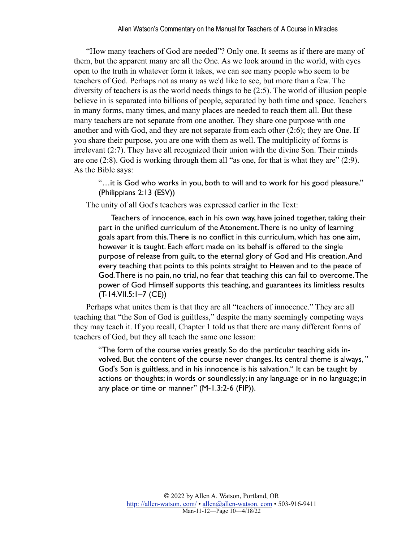"How many teachers of God are needed"? Only one. It seems as if there are many of them, but the apparent many are all the One. As we look around in the world, with eyes open to the truth in whatever form it takes, we can see many people who seem to be teachers of God. Perhaps not as many as we'd like to see, but more than a few. The diversity of teachers is as the world needs things to be (2:5). The world of illusion people believe in is separated into billions of people, separated by both time and space. Teachers in many forms, many times, and many places are needed to reach them all. But these many teachers are not separate from one another. They share one purpose with one another and with God, and they are not separate from each other (2:6); they are One. If you share their purpose, you are one with them as well. The multiplicity of forms is irrelevant (2:7). They have all recognized their union with the divine Son. Their minds are one  $(2.8)$ . God is working through them all "as one, for that is what they are"  $(2.9)$ . As the Bible says:

"…it is God who works in you, both to will and to work for his good pleasure." (Philippians 2:13 (ESV))

The unity of all God's teachers was expressed earlier in the Text:

Teachers of innocence, each in his own way, have joined together, taking their part in the unified curriculum of the Atonement. There is no unity of learning goals apart from this. There is no conflict in this curriculum, which has one aim, however it is taught. Each effort made on its behalf is offered to the single purpose of release from guilt, to the eternal glory of God and His creation. And every teaching that points to this points straight to Heaven and to the peace of God. There is no pain, no trial, no fear that teaching this can fail to overcome. The power of God Himself supports this teaching, and guarantees its limitless results (T-14.VII.5:1–7 (CE))

Perhaps what unites them is that they are all "teachers of innocence." They are all teaching that "the Son of God is guiltless," despite the many seemingly competing ways they may teach it. If you recall, Chapter 1 told us that there are many different forms of teachers of God, but they all teach the same one lesson:

"The form of the course varies greatly. So do the particular teaching aids involved. But the content of the course never changes. Its central theme is always, " God's Son is guiltless, and in his innocence is his salvation." It can be taught by actions or thoughts; in words or soundlessly; in any language or in no language; in any place or time or manner" (M-1.3:2-6 (FIP)).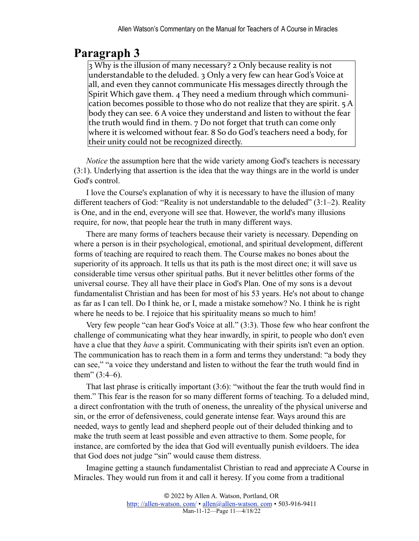3 Why is the illusion of many necessary? 2 Only because reality is not understandable to the deluded. 3 Only a very few can hear God's Voice at all, and even they cannot communicate His messages directly through the Spirit Which gave them. 4 They need a medium through which communication becomes possible to those who do not realize that they are spirit.  $5A$ body they can see. 6 A voice they understand and listen to without the fear the truth would find in them.  $7$  Do not forget that truth can come only where it is welcomed without fear. 8 So do God's teachers need a body, for their unity could not be recognized directly.

*Notice* the assumption here that the wide variety among God's teachers is necessary (3:1). Underlying that assertion is the idea that the way things are in the world is under God's control.

I love the Course's explanation of why it is necessary to have the illusion of many different teachers of God: "Reality is not understandable to the deluded" (3:1–2). Reality is One, and in the end, everyone will see that. However, the world's many illusions require, for now, that people hear the truth in many different ways.

There are many forms of teachers because their variety is necessary. Depending on where a person is in their psychological, emotional, and spiritual development, different forms of teaching are required to reach them. The Course makes no bones about the superiority of its approach. It tells us that its path is the most direct one; it will save us considerable time versus other spiritual paths. But it never belittles other forms of the universal course. They all have their place in God's Plan. One of my sons is a devout fundamentalist Christian and has been for most of his 53 years. He's not about to change as far as I can tell. Do I think he, or I, made a mistake somehow? No. I think he is right where he needs to be. I rejoice that his spirituality means so much to him!

Very few people "can hear God's Voice at all." (3:3). Those few who hear confront the challenge of communicating what they hear inwardly, in spirit, to people who don't even have a clue that they *have* a spirit. Communicating with their spirits isn't even an option. The communication has to reach them in a form and terms they understand: "a body they can see," "a voice they understand and listen to without the fear the truth would find in them"  $(3:4-6)$ .

That last phrase is critically important (3:6): "without the fear the truth would find in them." This fear is the reason for so many different forms of teaching. To a deluded mind, a direct confrontation with the truth of oneness, the unreality of the physical universe and sin, or the error of defensiveness, could generate intense fear. Ways around this are needed, ways to gently lead and shepherd people out of their deluded thinking and to make the truth seem at least possible and even attractive to them. Some people, for instance, are comforted by the idea that God will eventually punish evildoers. The idea that God does not judge "sin" would cause them distress.

Imagine getting a staunch fundamentalist Christian to read and appreciate A Course in Miracles. They would run from it and call it heresy. If you come from a traditional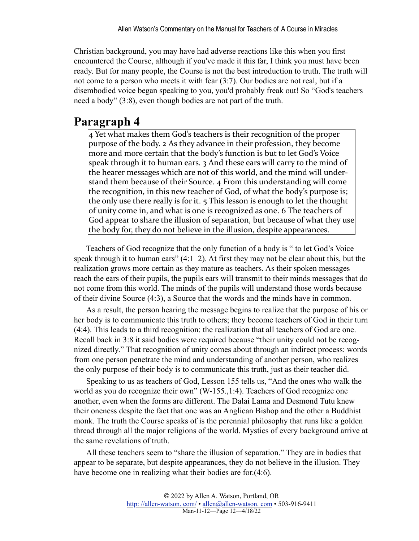Christian background, you may have had adverse reactions like this when you first encountered the Course, although if you've made it this far, I think you must have been ready. But for many people, the Course is not the best introduction to truth. The truth will not come to a person who meets it with fear (3:7). Our bodies are not real, but if a disembodied voice began speaking to you, you'd probably freak out! So "God's teachers need a body" (3:8), even though bodies are not part of the truth.

### **Paragraph 4**

4 Yet what makes them God's teachers is their recognition of the proper purpose of the body. 2 As they advance in their profession, they become more and more certain that the body's function is but to let God's Voice speak through it to human ears.  $\lambda$  And these ears will carry to the mind of the hearer messages which are not of this world, and the mind will understand them because of their Source. 4 From this understanding will come the recognition, in this new teacher of God, of what the body's purpose is; the only use there really is for it.  $\frac{1}{2}$  This lesson is enough to let the thought of unity come in, and what is one is recognized as one. 6 The teachers of God appear to share the illusion of separation, but because of what they use the body for, they do not believe in the illusion, despite appearances.

Teachers of God recognize that the only function of a body is " to let God's Voice speak through it to human ears"  $(4:1-2)$ . At first they may not be clear about this, but the realization grows more certain as they mature as teachers. As their spoken messages reach the ears of their pupils, the pupils ears will transmit to their minds messages that do not come from this world. The minds of the pupils will understand those words because of their divine Source (4:3), a Source that the words and the minds have in common.

As a result, the person hearing the message begins to realize that the purpose of his or her body is to communicate this truth to others; they become teachers of God in their turn (4:4). This leads to a third recognition: the realization that all teachers of God are one. Recall back in 3:8 it said bodies were required because "their unity could not be recognized directly." That recognition of unity comes about through an indirect process: words from one person penetrate the mind and understanding of another person, who realizes the only purpose of their body is to communicate this truth, just as their teacher did.

Speaking to us as teachers of God, Lesson 155 tells us, "And the ones who walk the world as you do recognize their own" (W-155.,1:4). Teachers of God recognize one another, even when the forms are different. The Dalai Lama and Desmond Tutu knew their oneness despite the fact that one was an Anglican Bishop and the other a Buddhist monk. The truth the Course speaks of is the perennial philosophy that runs like a golden thread through all the major religions of the world. Mystics of every background arrive at the same revelations of truth.

All these teachers seem to "share the illusion of separation." They are in bodies that appear to be separate, but despite appearances, they do not believe in the illusion. They have become one in realizing what their bodies are for.(4:6).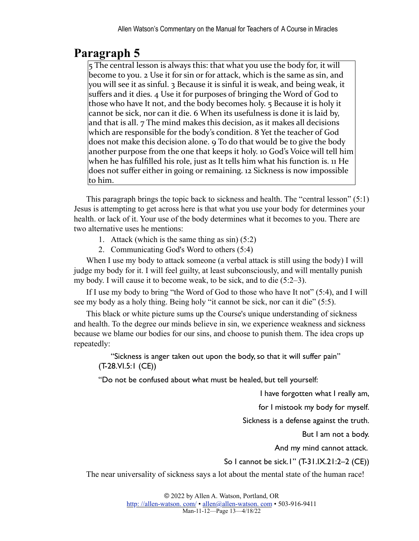5 The central lesson is always this: that what you use the body for, it will become to you. 2 Use it for sin or for attack, which is the same as sin, and you will see it as sinful. 3 Because it is sinful it is weak, and being weak, it suffers and it dies. 4 Use it for purposes of bringing the Word of God to those who have It not, and the body becomes holy. 5 Because it is holy it cannot be sick, nor can it die. 6 When its usefulness is done it is laid by, and that is all.  $7$  The mind makes this decision, as it makes all decisions which are responsible for the body's condition. 8 Yet the teacher of God does not make this decision alone. 9 To do that would be to give the body another purpose from the one that keeps it holy. 10 God's Voice will tell him when he has fulfilled his role, just as It tells him what his function is. 11 He does not suffer either in going or remaining. 12 Sickness is now impossible to him.

This paragraph brings the topic back to sickness and health. The "central lesson" (5:1) Jesus is attempting to get across here is that what you use your body for determines your health. or lack of it. Your use of the body determines what it becomes to you. There are two alternative uses he mentions:

- 1. Attack (which is the same thing as sin) (5:2)
- 2. Communicating God's Word to others (5:4)

When I use my body to attack someone (a verbal attack is still using the body) I will judge my body for it. I will feel guilty, at least subconsciously, and will mentally punish my body. I will cause it to become weak, to be sick, and to die (5:2–3).

If I use my body to bring "the Word of God to those who have It not" (5:4), and I will see my body as a holy thing. Being holy "it cannot be sick, nor can it die" (5:5).

This black or white picture sums up the Course's unique understanding of sickness and health. To the degree our minds believe in sin, we experience weakness and sickness because we blame our bodies for our sins, and choose to punish them. The idea crops up repeatedly:

"Sickness is anger taken out upon the body, so that it will suffer pain" (T-28.VI.5:1 (CE))

"Do not be confused about what must be healed, but tell yourself:

I have forgotten what I really am,

for I mistook my body for myself.

Sickness is a defense against the truth.

But I am not a body.

And my mind cannot attack.

So I cannot be sick.1" (T-31.IX.21:2–2 (CE))

The near universality of sickness says a lot about the mental state of the human race!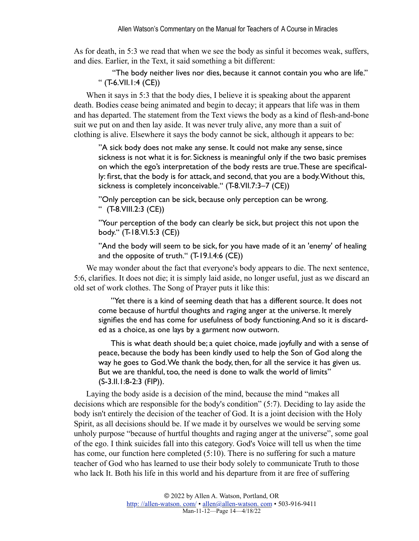As for death, in 5:3 we read that when we see the body as sinful it becomes weak, suffers, and dies. Earlier, in the Text, it said something a bit different:

 "The body neither lives nor dies, because it cannot contain you who are life." " (T-6.VII.1:4 (CE))

When it says in 5:3 that the body dies, I believe it is speaking about the apparent death. Bodies cease being animated and begin to decay; it appears that life was in them and has departed. The statement from the Text views the body as a kind of flesh-and-bone suit we put on and then lay aside. It was never truly alive, any more than a suit of clothing is alive. Elsewhere it says the body cannot be sick, although it appears to be:

"A sick body does not make any sense. It could not make any sense, since sickness is not what it is for. Sickness is meaningful only if the two basic premises on which the ego's interpretation of the body rests are true. These are specifically: first, that the body is for attack, and second, that you are a body. Without this, sickness is completely inconceivable." (T-8.VII.7:3–7 (CE))

"Only perception can be sick, because only perception can be wrong. " (T-8.VIII.2:3 (CE))

"Your perception of the body can clearly be sick, but project this not upon the body." (T-18.VI.5:3 (CE))

"And the body will seem to be sick, for you have made of it an 'enemy' of healing and the opposite of truth." (T-19.I.4:6 (CE))

We may wonder about the fact that everyone's body appears to die. The next sentence, 5:6, clarifies. It does not die; it is simply laid aside, no longer useful, just as we discard an old set of work clothes. The Song of Prayer puts it like this:

"Yet there is a kind of seeming death that has a different source. It does not come because of hurtful thoughts and raging anger at the universe. It merely signifies the end has come for usefulness of body functioning. And so it is discarded as a choice, as one lays by a garment now outworn.

This is what death should be; a quiet choice, made joyfully and with a sense of peace, because the body has been kindly used to help the Son of God along the way he goes to God. We thank the body, then, for all the service it has given us. But we are thankful, too, the need is done to walk the world of limits" (S-3.II.1:8-2:3 (FIP)).

Laying the body aside is a decision of the mind, because the mind "makes all decisions which are responsible for the body's condition" (5:7). Deciding to lay aside the body isn't entirely the decision of the teacher of God. It is a joint decision with the Holy Spirit, as all decisions should be. If we made it by ourselves we would be serving some unholy purpose "because of hurtful thoughts and raging anger at the universe", some goal of the ego. I think suicides fall into this category. God's Voice will tell us when the time has come, our function here completed (5:10). There is no suffering for such a mature teacher of God who has learned to use their body solely to communicate Truth to those who lack It. Both his life in this world and his departure from it are free of suffering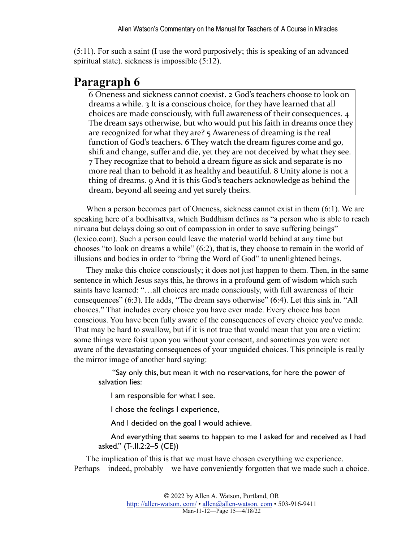(5:11). For such a saint (I use the word purposively; this is speaking of an advanced spiritual state). sickness is impossible (5:12).

#### **Paragraph 6**

6 Oneness and sickness cannot coexist. 2 God's teachers choose to look on dreams a while.  $3$  It is a conscious choice, for they have learned that all choices are made consciously, with full awareness of their consequences.  $4$ The dream says otherwise, but who would put his faith in dreams once they are recognized for what they are?  $5$  Awareness of dreaming is the real function of God's teachers. 6 They watch the dream figures come and go, shift and change, suffer and die, yet they are not deceived by what they see. 7 They recognize that to behold a dream figure as sick and separate is no more real than to behold it as healthy and beautiful. 8 Unity alone is not a thing of dreams. 9 And it is this God's teachers acknowledge as behind the dream, beyond all seeing and yet surely theirs.

When a person becomes part of Oneness, sickness cannot exist in them (6:1). We are speaking here of a bodhisattva, which Buddhism defines as "a person who is able to reach nirvana but delays doing so out of compassion in order to save suffering beings" (lexico.com). Such a person could leave the material world behind at any time but chooses "to look on dreams a while" (6:2), that is, they choose to remain in the world of illusions and bodies in order to "bring the Word of God" to unenlightened beings.

They make this choice consciously; it does not just happen to them. Then, in the same sentence in which Jesus says this, he throws in a profound gem of wisdom which such saints have learned: "…all choices are made consciously, with full awareness of their consequences" (6:3). He adds, "The dream says otherwise" (6:4). Let this sink in. "All choices." That includes every choice you have ever made. Every choice has been conscious. You have been fully aware of the consequences of every choice you've made. That may be hard to swallow, but if it is not true that would mean that you are a victim: some things were foist upon you without your consent, and sometimes you were not aware of the devastating consequences of your unguided choices. This principle is really the mirror image of another hard saying:

 "Say only this, but mean it with no reservations, for here the power of salvation lies:

I am responsible for what I see.

I chose the feelings I experience,

And I decided on the goal I would achieve.

And everything that seems to happen to me I asked for and received as I had asked." (T-.II.2:2–5 (CE))

The implication of this is that we must have chosen everything we experience. Perhaps—indeed, probably—we have conveniently forgotten that we made such a choice.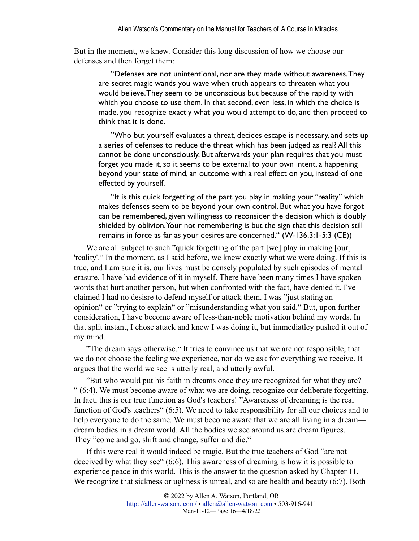But in the moment, we knew. Consider this long discussion of how we choose our defenses and then forget them:

"Defenses are not unintentional, nor are they made without awareness. They are secret magic wands you wave when truth appears to threaten what you would believe. They seem to be unconscious but because of the rapidity with which you choose to use them. In that second, even less, in which the choice is made, you recognize exactly what you would attempt to do, and then proceed to think that it is done.

"Who but yourself evaluates a threat, decides escape is necessary, and sets up a series of defenses to reduce the threat which has been judged as real? All this cannot be done unconsciously. But afterwards your plan requires that you must forget you made it, so it seems to be external to your own intent, a happening beyond your state of mind, an outcome with a real effect on you, instead of one effected by yourself.

"It is this quick forgetting of the part you play in making your "reality" which makes defenses seem to be beyond your own control. But what you have forgot can be remembered, given willingness to reconsider the decision which is doubly shielded by oblivion. Your not remembering is but the sign that this decision still remains in force as far as your desires are concerned." (W-136.3:1-5:3 (CE))

We are all subject to such "quick forgetting of the part [we] play in making [our] 'reality'." In the moment, as I said before, we knew exactly what we were doing. If this is true, and I am sure it is, our lives must be densely populated by such episodes of mental erasure. I have had evidence of it in myself. There have been many times I have spoken words that hurt another person, but when confronted with the fact, have denied it. I've claimed I had no desisre to defend myself or attack them. I was "just stating an opinion" or "trying to explain" or "misunderstanding what you said." But, upon further consideration, I have become aware of less-than-noble motivation behind my words. In that split instant, I chose attack and knew I was doing it, but immediatley pushed it out of my mind.

"The dream says otherwise." It tries to convince us that we are not responsible, that we do not choose the feeling we experience, nor do we ask for everything we receive. It argues that the world we see is utterly real, and utterly awful.

"But who would put his faith in dreams once they are recognized for what they are? " (6:4). We must become aware of what we are doing, recognize our deliberate forgetting. In fact, this is our true function as God's teachers! "Awareness of dreaming is the real function of God's teachers" (6:5). We need to take responsibility for all our choices and to help everyone to do the same. We must become aware that we are all living in a dream dream bodies in a dream world. All the bodies we see around us are dream figures. They "come and go, shift and change, suffer and die."

If this were real it would indeed be tragic. But the true teachers of God "are not deceived by what they see" (6:6). This awareness of dreaming is how it is possible to experience peace in this world. This is the answer to the question asked by Chapter 11. We recognize that sickness or ugliness is unreal, and so are health and beauty (6:7). Both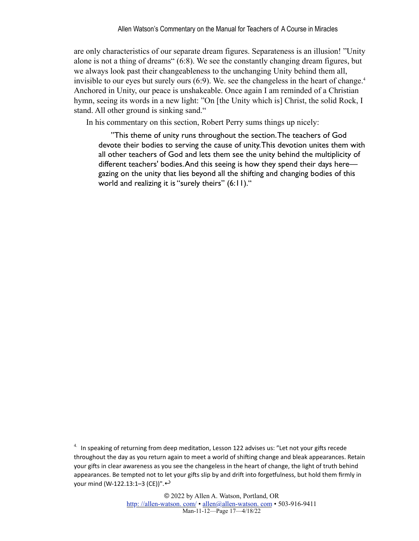<span id="page-16-1"></span>are only characteristics of our separate dream figures. Separateness is an illusion! "Unity alone is not a thing of dreams" (6:8). We see the constantly changing dream figures, but we always look past their changeableness to the unchanging Unity behind them all, invisible to our eyes but surely ours  $(6.9)$ . We, see the changeless in the heart of change.<sup>4</sup> Anchored in Unity, our peace is unshakeable. Once again I am reminded of a Christian hymn, seeing its words in a new light: "On [the Unity which is] Christ, the solid Rock, I stand. All other ground is sinking sand."

In his commentary on this section, Robert Perry sums things up nicely:

"This theme of unity runs throughout the section. The teachers of God devote their bodies to serving the cause of unity. This devotion unites them with all other teachers of God and lets them see the unity behind the multiplicity of different teachers' bodies. And this seeing is how they spend their days here gazing on the unity that lies beyond all the shifting and changing bodies of this world and realizing it is "surely theirs" (6:11)."

<span id="page-16-0"></span> $4.$  In speaking of returning from deep meditation, Lesson 122 advises us: "Let not your gifts recede throughout the day as you return again to meet a world of shifting change and bleak appearances. Retain your gifts in clear awareness as you see the changeless in the heart of change, the light of truth behind appearances. Be tempted not to let your gifts slip by and drift into forgetfulness, but hold them firmly in your mind (W-122.13:1–3 (CE))".  $\leftrightarrow$